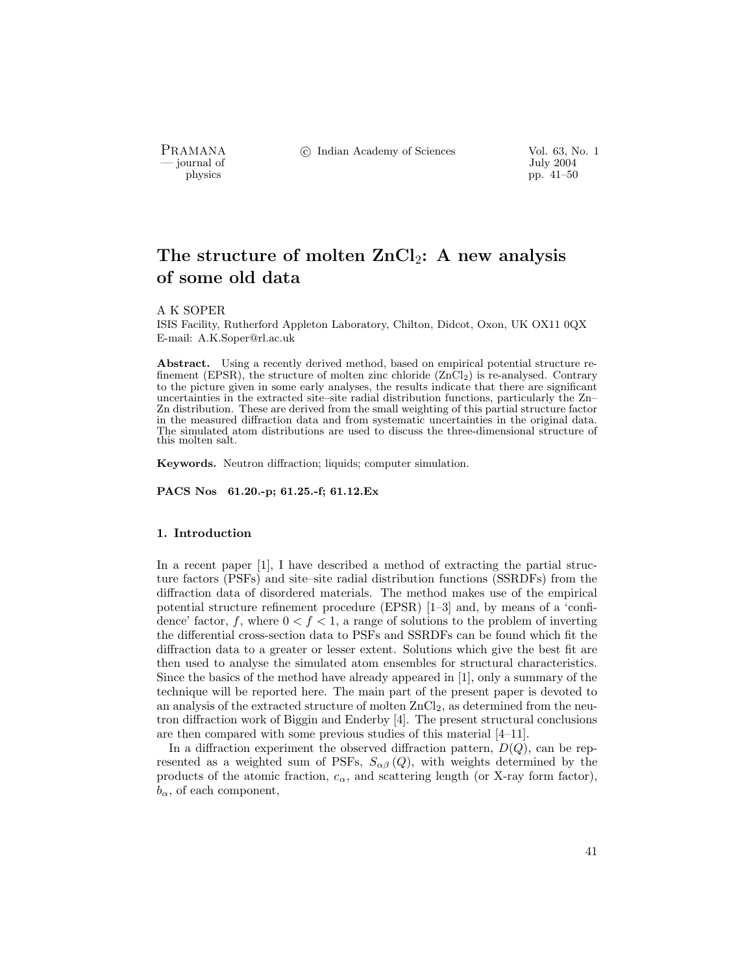PRAMANA °c Indian Academy of Sciences Vol. 63, No. 1

by July 2004<br>
physics properties and the properties of the July 2004<br>
pp. 41–50 pp. 41–50

# The structure of molten  $ZnCl_2$ : A new analysis of some old data

#### A K SOPER

ISIS Facility, Rutherford Appleton Laboratory, Chilton, Didcot, Oxon, UK OX11 0QX E-mail: A.K.Soper@rl.ac.uk

Abstract. Using a recently derived method, based on empirical potential structure refinement (EPSR), the structure of molten zinc chloride  $(ZnCl<sub>2</sub>)$  is re-analysed. Contrary to the picture given in some early analyses, the results indicate that there are significant uncertainties in the extracted site–site radial distribution functions, particularly the Zn– Zn distribution. These are derived from the small weighting of this partial structure factor in the measured diffraction data and from systematic uncertainties in the original data. The simulated atom distributions are used to discuss the three-dimensional structure of this molten salt.

Keywords. Neutron diffraction; liquids; computer simulation.

PACS Nos 61.20.-p; 61.25.-f; 61.12.Ex

#### 1. Introduction

In a recent paper [1], I have described a method of extracting the partial structure factors (PSFs) and site–site radial distribution functions (SSRDFs) from the diffraction data of disordered materials. The method makes use of the empirical potential structure refinement procedure (EPSR) [1–3] and, by means of a 'confidence' factor, f, where  $0 < f < 1$ , a range of solutions to the problem of inverting the differential cross-section data to PSFs and SSRDFs can be found which fit the diffraction data to a greater or lesser extent. Solutions which give the best fit are then used to analyse the simulated atom ensembles for structural characteristics. Since the basics of the method have already appeared in [1], only a summary of the technique will be reported here. The main part of the present paper is devoted to an analysis of the extracted structure of molten  $ZnCl<sub>2</sub>$ , as determined from the neutron diffraction work of Biggin and Enderby [4]. The present structural conclusions are then compared with some previous studies of this material [4–11].

In a diffraction experiment the observed diffraction pattern,  $D(Q)$ , can be represented as a weighted sum of PSFs,  $S_{\alpha\beta}(Q)$ , with weights determined by the products of the atomic fraction,  $c_{\alpha}$ , and scattering length (or X-ray form factor),  $b_{\alpha}$ , of each component,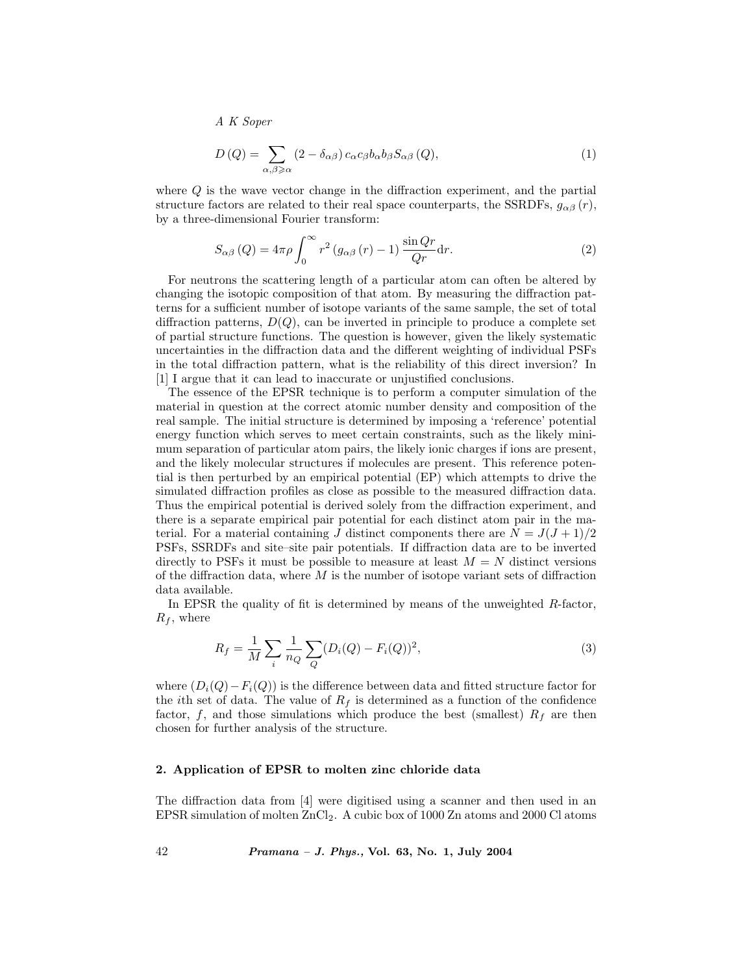$$
D\left(Q\right) = \sum_{\alpha,\beta \geqslant \alpha} \left(2 - \delta_{\alpha\beta}\right) c_{\alpha} c_{\beta} b_{\alpha} b_{\beta} S_{\alpha\beta} \left(Q\right),\tag{1}
$$

where Q is the wave vector change in the diffraction experiment, and the partial structure factors are related to their real space counterparts, the SSRDFs,  $g_{\alpha\beta}(r)$ , by a three-dimensional Fourier transform:

$$
S_{\alpha\beta}(Q) = 4\pi\rho \int_0^\infty r^2 (g_{\alpha\beta}(r) - 1) \frac{\sin Qr}{Qr} dr.
$$
 (2)

For neutrons the scattering length of a particular atom can often be altered by changing the isotopic composition of that atom. By measuring the diffraction patterns for a sufficient number of isotope variants of the same sample, the set of total diffraction patterns,  $D(Q)$ , can be inverted in principle to produce a complete set of partial structure functions. The question is however, given the likely systematic uncertainties in the diffraction data and the different weighting of individual PSFs in the total diffraction pattern, what is the reliability of this direct inversion? In [1] I argue that it can lead to inaccurate or unjustified conclusions.

The essence of the EPSR technique is to perform a computer simulation of the material in question at the correct atomic number density and composition of the real sample. The initial structure is determined by imposing a 'reference' potential energy function which serves to meet certain constraints, such as the likely minimum separation of particular atom pairs, the likely ionic charges if ions are present, and the likely molecular structures if molecules are present. This reference potential is then perturbed by an empirical potential (EP) which attempts to drive the simulated diffraction profiles as close as possible to the measured diffraction data. Thus the empirical potential is derived solely from the diffraction experiment, and there is a separate empirical pair potential for each distinct atom pair in the material. For a material containing J distinct components there are  $N = J(J+1)/2$ PSFs, SSRDFs and site–site pair potentials. If diffraction data are to be inverted directly to PSFs it must be possible to measure at least  $M = N$  distinct versions of the diffraction data, where  $M$  is the number of isotope variant sets of diffraction data available.

In EPSR the quality of fit is determined by means of the unweighted R-factor,  $R_f$ , where

$$
R_f = \frac{1}{M} \sum_{i} \frac{1}{n_Q} \sum_{Q} (D_i(Q) - F_i(Q))^2,
$$
\n(3)

where  $(D_i(Q) - F_i(Q))$  is the difference between data and fitted structure factor for the *i*th set of data. The value of  $R_f$  is determined as a function of the confidence factor,  $f$ , and those simulations which produce the best (smallest)  $R_f$  are then chosen for further analysis of the structure.

#### 2. Application of EPSR to molten zinc chloride data

The diffraction data from [4] were digitised using a scanner and then used in an EPSR simulation of molten ZnCl2. A cubic box of 1000 Zn atoms and 2000 Cl atoms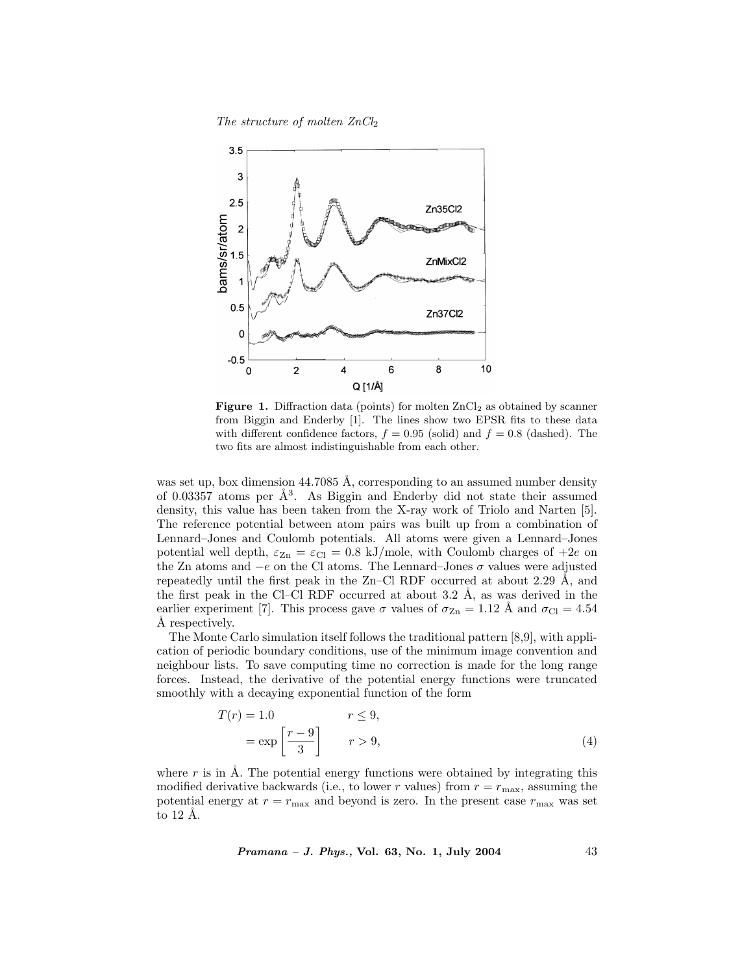The structure of molten  $ZnCl<sub>2</sub>$ 



Figure 1. Diffraction data (points) for molten  $ZnCl<sub>2</sub>$  as obtained by scanner from Biggin and Enderby [1]. The lines show two EPSR fits to these data with different confidence factors,  $f = 0.95$  (solid) and  $f = 0.8$  (dashed). The two fits are almost indistinguishable from each other.

was set up, box dimension  $44.7085$  Å, corresponding to an assumed number density of 0.03357 atoms per  $\AA^3$ . As Biggin and Enderby did not state their assumed density, this value has been taken from the X-ray work of Triolo and Narten [5]. The reference potential between atom pairs was built up from a combination of Lennard–Jones and Coulomb potentials. All atoms were given a Lennard–Jones potential well depth,  $\varepsilon_{\text{Zn}} = \varepsilon_{\text{Cl}} = 0.8 \text{ kJ/mole}$ , with Coulomb charges of  $+2e$  on the Zn atoms and  $-e$  on the Cl atoms. The Lennard–Jones  $\sigma$  values were adjusted repeatedly until the first peak in the  $Zn-Cl$  RDF occurred at about 2.29  $\AA$ , and the first peak in the Cl–Cl RDF occurred at about  $3.2 \text{ Å}$ , as was derived in the earlier experiment [7]. This process gave  $\sigma$  values of  $\sigma_{\text{Zn}} = 1.12 \text{ Å}$  and  $\sigma_{\text{Cl}} = 4.54 \text{ Å}$  respectively.

The Monte Carlo simulation itself follows the traditional pattern [8,9], with application of periodic boundary conditions, use of the minimum image convention and neighbour lists. To save computing time no correction is made for the long range forces. Instead, the derivative of the potential energy functions were truncated smoothly with a decaying exponential function of the form

$$
T(r) = 1.0 \t r \le 9,
$$
  
=  $\exp\left[\frac{r-9}{3}\right]$   $r > 9,$  (4)

where r is in  $\AA$ . The potential energy functions were obtained by integrating this modified derivative backwards (i.e., to lower r values) from  $r = r_{\text{max}}$ , assuming the potential energy at  $r = r_{\text{max}}$  and beyond is zero. In the present case  $r_{\text{max}}$  was set to  $12$  Å.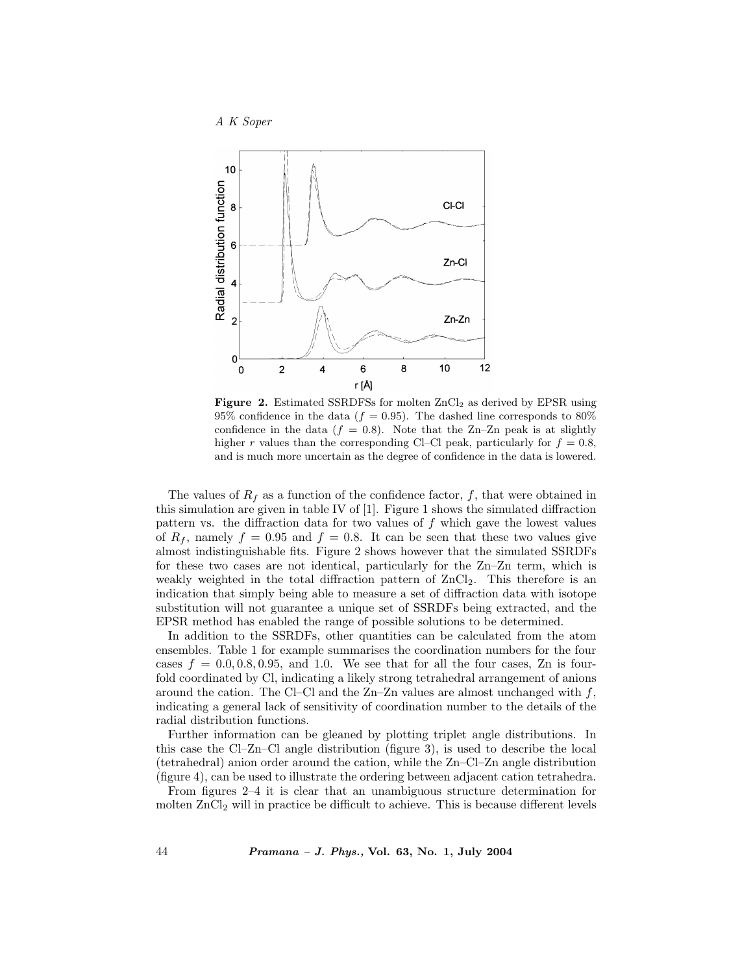



**Figure 2.** Estimated SSRDFSs for molten  $ZnCl<sub>2</sub>$  as derived by EPSR using 95% confidence in the data ( $f = 0.95$ ). The dashed line corresponds to 80% confidence in the data  $(f = 0.8)$ . Note that the Zn–Zn peak is at slightly higher r values than the corresponding Cl–Cl peak, particularly for  $f = 0.8$ , and is much more uncertain as the degree of confidence in the data is lowered.

The values of  $R_f$  as a function of the confidence factor, f, that were obtained in this simulation are given in table IV of [1]. Figure 1 shows the simulated diffraction pattern vs. the diffraction data for two values of  $f$  which gave the lowest values of  $R_f$ , namely  $f = 0.95$  and  $f = 0.8$ . It can be seen that these two values give almost indistinguishable fits. Figure 2 shows however that the simulated SSRDFs for these two cases are not identical, particularly for the Zn–Zn term, which is weakly weighted in the total diffraction pattern of  $ZnCl<sub>2</sub>$ . This therefore is an indication that simply being able to measure a set of diffraction data with isotope substitution will not guarantee a unique set of SSRDFs being extracted, and the EPSR method has enabled the range of possible solutions to be determined.

In addition to the SSRDFs, other quantities can be calculated from the atom ensembles. Table 1 for example summarises the coordination numbers for the four cases  $f = 0.0, 0.8, 0.95,$  and 1.0. We see that for all the four cases, Zn is fourfold coordinated by Cl, indicating a likely strong tetrahedral arrangement of anions around the cation. The Cl–Cl and the  $Zn-Zn$  values are almost unchanged with f, indicating a general lack of sensitivity of coordination number to the details of the radial distribution functions.

Further information can be gleaned by plotting triplet angle distributions. In this case the Cl–Zn–Cl angle distribution (figure 3), is used to describe the local (tetrahedral) anion order around the cation, while the Zn–Cl–Zn angle distribution (figure 4), can be used to illustrate the ordering between adjacent cation tetrahedra.

From figures 2–4 it is clear that an unambiguous structure determination for molten  $ZnCl_2$  will in practice be difficult to achieve. This is because different levels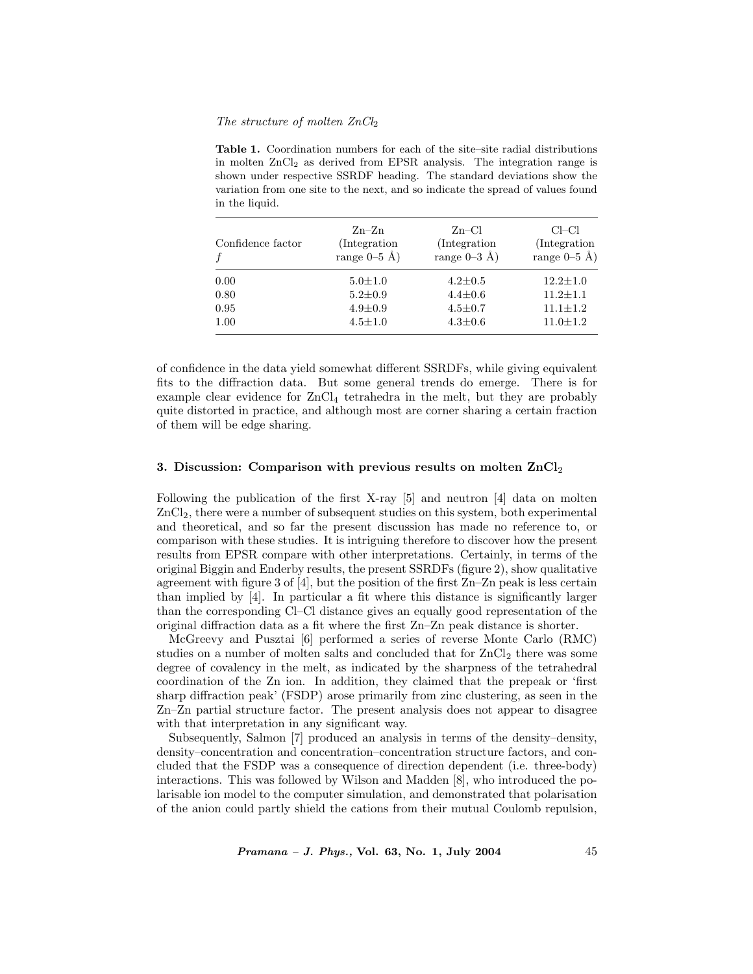#### The structure of molten  $ZnCl<sub>2</sub>$

Table 1. Coordination numbers for each of the site–site radial distributions in molten  $ZnCl<sub>2</sub>$  as derived from EPSR analysis. The integration range is shown under respective SSRDF heading. The standard deviations show the variation from one site to the next, and so indicate the spread of values found in the liquid.

| Confidence factor | $Zn-Zn$        | $Zn-Cl$        | Cl-Cl          |
|-------------------|----------------|----------------|----------------|
|                   | (Integration)  | (Integration)  | (Integration)  |
|                   | range $0-5$ Å) | range $0-3$ Å) | range $0-5$ Å) |
| 0.00              | $5.0 \pm 1.0$  | $4.2 \pm 0.5$  | $12.2 \pm 1.0$ |
| 0.80              | $5.2 \pm 0.9$  | $4.4 \pm 0.6$  | $11.2 + 1.1$   |
| 0.95              | $4.9 \pm 0.9$  | $4.5 \pm 0.7$  | $11.1 + 1.2$   |
| 1.00              | $4.5 \pm 1.0$  | $4.3 \pm 0.6$  | $11.0 \pm 1.2$ |

of confidence in the data yield somewhat different SSRDFs, while giving equivalent fits to the diffraction data. But some general trends do emerge. There is for example clear evidence for ZnCl<sup>4</sup> tetrahedra in the melt, but they are probably quite distorted in practice, and although most are corner sharing a certain fraction of them will be edge sharing.

#### 3. Discussion: Comparison with previous results on molten  $ZnCl<sub>2</sub>$

Following the publication of the first X-ray [5] and neutron [4] data on molten ZnCl2, there were a number of subsequent studies on this system, both experimental and theoretical, and so far the present discussion has made no reference to, or comparison with these studies. It is intriguing therefore to discover how the present results from EPSR compare with other interpretations. Certainly, in terms of the original Biggin and Enderby results, the present SSRDFs (figure 2), show qualitative agreement with figure 3 of  $[4]$ , but the position of the first  $Zn-Zn$  peak is less certain than implied by [4]. In particular a fit where this distance is significantly larger than the corresponding Cl–Cl distance gives an equally good representation of the original diffraction data as a fit where the first Zn–Zn peak distance is shorter.

McGreevy and Pusztai [6] performed a series of reverse Monte Carlo (RMC) studies on a number of molten salts and concluded that for  $ZnCl_2$  there was some degree of covalency in the melt, as indicated by the sharpness of the tetrahedral coordination of the Zn ion. In addition, they claimed that the prepeak or 'first sharp diffraction peak' (FSDP) arose primarily from zinc clustering, as seen in the Zn–Zn partial structure factor. The present analysis does not appear to disagree with that interpretation in any significant way.

Subsequently, Salmon [7] produced an analysis in terms of the density–density, density–concentration and concentration–concentration structure factors, and concluded that the FSDP was a consequence of direction dependent (i.e. three-body) interactions. This was followed by Wilson and Madden [8], who introduced the polarisable ion model to the computer simulation, and demonstrated that polarisation of the anion could partly shield the cations from their mutual Coulomb repulsion,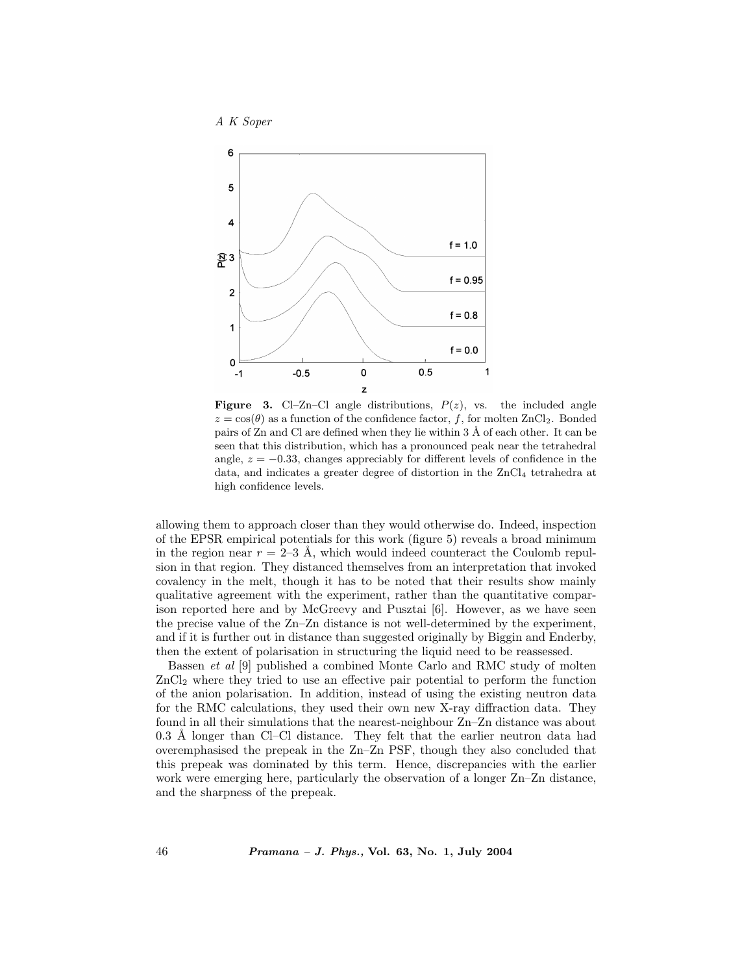

**Figure 3.** Cl–Zn–Cl angle distributions,  $P(z)$ , vs. the included angle  $z = \cos(\theta)$  as a function of the confidence factor, f, for molten ZnCl<sub>2</sub>. Bonded pairs of  $Zn$  and  $Cl$  are defined when they lie within 3  $\AA$  of each other. It can be seen that this distribution, which has a pronounced peak near the tetrahedral angle,  $z = -0.33$ , changes appreciably for different levels of confidence in the data, and indicates a greater degree of distortion in the  $ZnCl<sub>4</sub>$  tetrahedra at high confidence levels.

allowing them to approach closer than they would otherwise do. Indeed, inspection of the EPSR empirical potentials for this work (figure 5) reveals a broad minimum in the region near  $r = 2-3$  Å, which would indeed counteract the Coulomb repulsion in that region. They distanced themselves from an interpretation that invoked covalency in the melt, though it has to be noted that their results show mainly qualitative agreement with the experiment, rather than the quantitative comparison reported here and by McGreevy and Pusztai [6]. However, as we have seen the precise value of the Zn–Zn distance is not well-determined by the experiment, and if it is further out in distance than suggested originally by Biggin and Enderby, then the extent of polarisation in structuring the liquid need to be reassessed.

Bassen et al [9] published a combined Monte Carlo and RMC study of molten ZnCl<sup>2</sup> where they tried to use an effective pair potential to perform the function of the anion polarisation. In addition, instead of using the existing neutron data for the RMC calculations, they used their own new X-ray diffraction data. They found in all their simulations that the nearest-neighbour Zn–Zn distance was about  $0.3$  Å longer than Cl–Cl distance. They felt that the earlier neutron data had overemphasised the prepeak in the Zn–Zn PSF, though they also concluded that this prepeak was dominated by this term. Hence, discrepancies with the earlier work were emerging here, particularly the observation of a longer Zn–Zn distance, and the sharpness of the prepeak.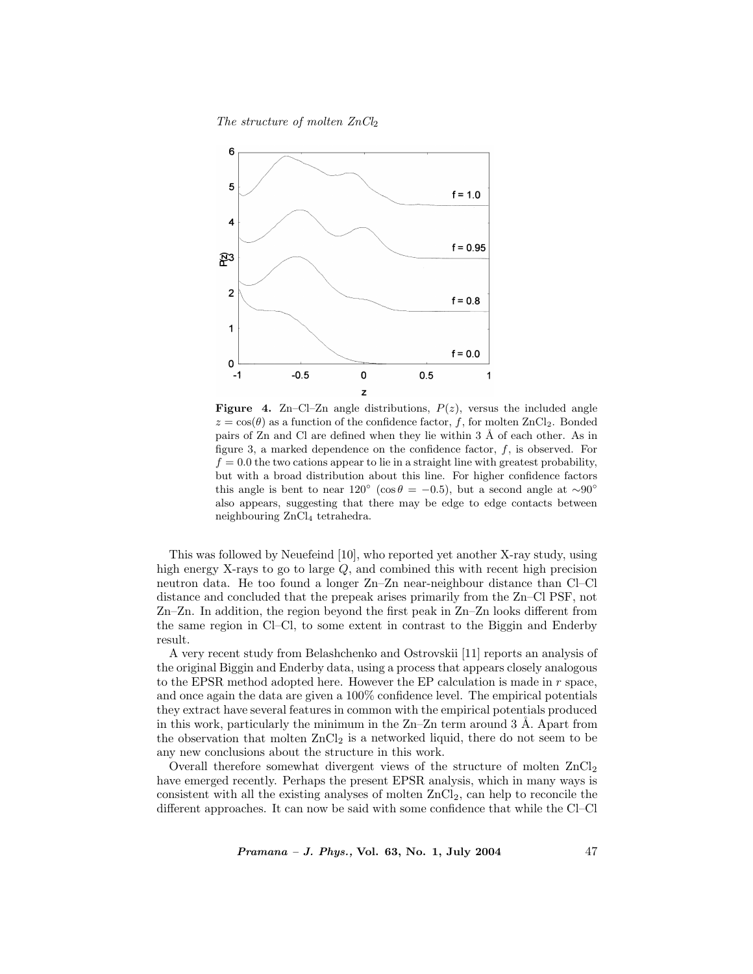The structure of molten  $ZnCl<sub>2</sub>$ 



**Figure 4.** Zn–Cl–Zn angle distributions,  $P(z)$ , versus the included angle  $z = \cos(\theta)$  as a function of the confidence factor, f, for molten ZnCl<sub>2</sub>. Bonded pairs of  $Zn$  and  $Cl$  are defined when they lie within 3  $\AA$  of each other. As in figure 3, a marked dependence on the confidence factor,  $f$ , is observed. For  $f = 0.0$  the two cations appear to lie in a straight line with greatest probability, but with a broad distribution about this line. For higher confidence factors this angle is bent to near  $120° (\cos \theta = -0.5)$ , but a second angle at ~90° also appears, suggesting that there may be edge to edge contacts between neighbouring ZnCl<sup>4</sup> tetrahedra.

This was followed by Neuefeind [10], who reported yet another X-ray study, using high energy X-rays to go to large Q, and combined this with recent high precision neutron data. He too found a longer Zn–Zn near-neighbour distance than Cl–Cl distance and concluded that the prepeak arises primarily from the Zn–Cl PSF, not Zn–Zn. In addition, the region beyond the first peak in Zn–Zn looks different from the same region in Cl–Cl, to some extent in contrast to the Biggin and Enderby result.

A very recent study from Belashchenko and Ostrovskii [11] reports an analysis of the original Biggin and Enderby data, using a process that appears closely analogous to the EPSR method adopted here. However the EP calculation is made in r space, and once again the data are given a 100% confidence level. The empirical potentials they extract have several features in common with the empirical potentials produced in this work, particularly the minimum in the  $Zn-Zn$  term around 3 Å. Apart from the observation that molten  $ZnCl_2$  is a networked liquid, there do not seem to be any new conclusions about the structure in this work.

Overall therefore somewhat divergent views of the structure of molten  $ZnCl<sub>2</sub>$ have emerged recently. Perhaps the present EPSR analysis, which in many ways is consistent with all the existing analyses of molten  $ZnCl<sub>2</sub>$ , can help to reconcile the different approaches. It can now be said with some confidence that while the Cl–Cl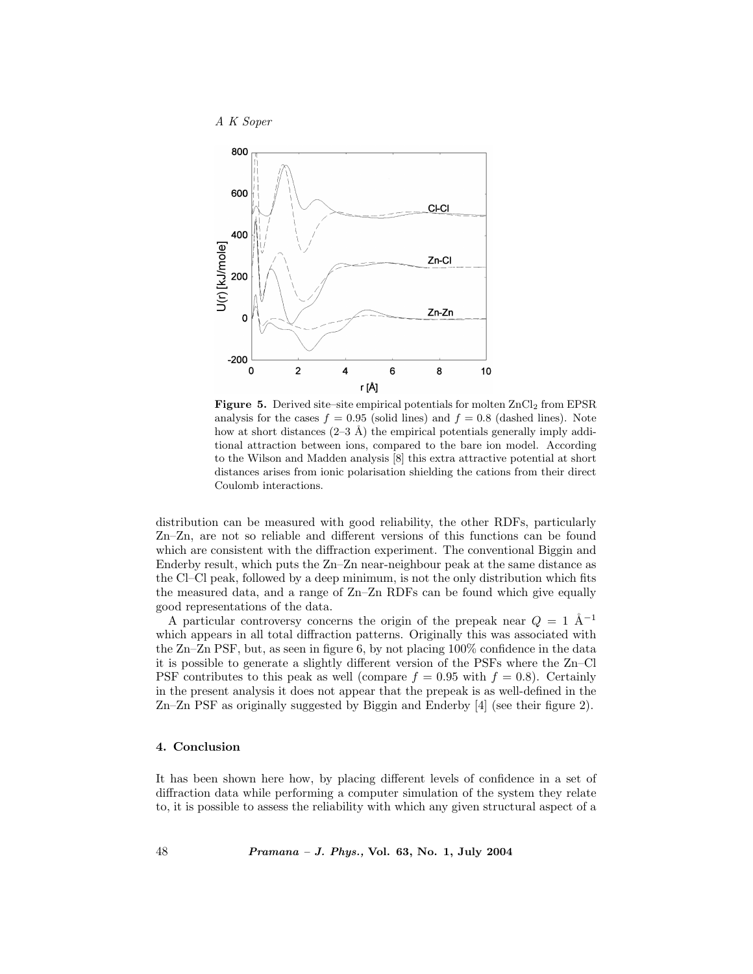

Figure 5. Derived site–site empirical potentials for molten ZnCl<sub>2</sub> from EPSR analysis for the cases  $f = 0.95$  (solid lines) and  $f = 0.8$  (dashed lines). Note how at short distances  $(2-3 \text{ Å})$  the empirical potentials generally imply additional attraction between ions, compared to the bare ion model. According to the Wilson and Madden analysis [8] this extra attractive potential at short distances arises from ionic polarisation shielding the cations from their direct Coulomb interactions.

distribution can be measured with good reliability, the other RDFs, particularly Zn–Zn, are not so reliable and different versions of this functions can be found which are consistent with the diffraction experiment. The conventional Biggin and Enderby result, which puts the Zn–Zn near-neighbour peak at the same distance as the Cl–Cl peak, followed by a deep minimum, is not the only distribution which fits the measured data, and a range of Zn–Zn RDFs can be found which give equally good representations of the data.

A particular controversy concerns the origin of the prepeak near  $Q = 1$   $\AA^{-1}$ which appears in all total diffraction patterns. Originally this was associated with the Zn–Zn PSF, but, as seen in figure 6, by not placing 100% confidence in the data it is possible to generate a slightly different version of the PSFs where the Zn–Cl PSF contributes to this peak as well (compare  $f = 0.95$  with  $f = 0.8$ ). Certainly in the present analysis it does not appear that the prepeak is as well-defined in the Zn–Zn PSF as originally suggested by Biggin and Enderby [4] (see their figure 2).

#### 4. Conclusion

It has been shown here how, by placing different levels of confidence in a set of diffraction data while performing a computer simulation of the system they relate to, it is possible to assess the reliability with which any given structural aspect of a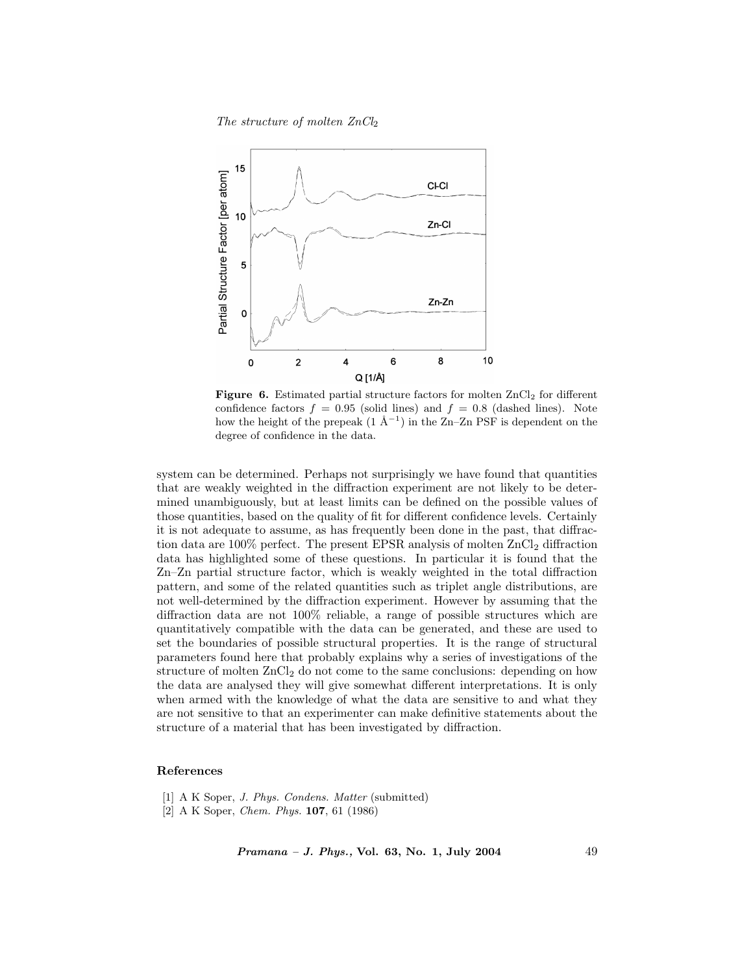The structure of molten  $ZnCl<sub>2</sub>$ 



Figure 6. Estimated partial structure factors for molten  $ZnCl<sub>2</sub>$  for different confidence factors  $f = 0.95$  (solid lines) and  $f = 0.8$  (dashed lines). Note how the height of the prepeak  $(1 \text{ Å}^{-1})$  in the Zn–Zn PSF is dependent on the degree of confidence in the data.

system can be determined. Perhaps not surprisingly we have found that quantities that are weakly weighted in the diffraction experiment are not likely to be determined unambiguously, but at least limits can be defined on the possible values of those quantities, based on the quality of fit for different confidence levels. Certainly it is not adequate to assume, as has frequently been done in the past, that diffraction data are 100% perfect. The present EPSR analysis of molten  $ZnCl_2$  diffraction data has highlighted some of these questions. In particular it is found that the Zn–Zn partial structure factor, which is weakly weighted in the total diffraction pattern, and some of the related quantities such as triplet angle distributions, are not well-determined by the diffraction experiment. However by assuming that the diffraction data are not 100% reliable, a range of possible structures which are quantitatively compatible with the data can be generated, and these are used to set the boundaries of possible structural properties. It is the range of structural parameters found here that probably explains why a series of investigations of the structure of molten  $ZnCl<sub>2</sub>$  do not come to the same conclusions: depending on how the data are analysed they will give somewhat different interpretations. It is only when armed with the knowledge of what the data are sensitive to and what they are not sensitive to that an experimenter can make definitive statements about the structure of a material that has been investigated by diffraction.

### References

- [1] A K Soper, *J. Phys. Condens. Matter* (submitted)
- [2] A K Soper, Chem. Phys. 107, 61 (1986)